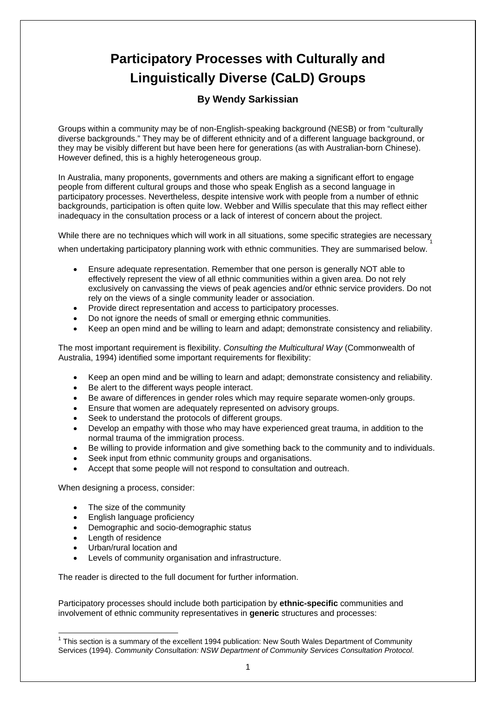## **Participatory Processes with Culturally and Linguistically Diverse (CaLD) Groups**

## **By Wendy Sarkissian**

Groups within a community may be of non-English-speaking background (NESB) or from "culturally diverse backgrounds." They may be of different ethnicity and of a different language background, or they may be visibly different but have been here for generations (as with Australian-born Chinese). However defined, this is a highly heterogeneous group.

In Australia, many proponents, governments and others are making a significant effort to engage people from different cultural groups and those who speak English as a second language in participatory processes. Nevertheless, despite intensive work with people from a number of ethnic backgrounds, participation is often quite low. Webber and Willis speculate that this may reflect either inadequacy in the consultation process or a lack of interest of concern about the project.

While there are no techniques which will work in all situations, some specific strategies are necessary when undertaking participatory planning work with ethnic communities. They are summarised below. [1](#page-0-0)

- Ensure adequate representation. Remember that one person is generally NOT able to effectively represent the view of all ethnic communities within a given area. Do not rely exclusively on canvassing the views of peak agencies and/or ethnic service providers. Do not rely on the views of a single community leader or association.
- Provide direct representation and access to participatory processes.
- Do not ignore the needs of small or emerging ethnic communities.
- Keep an open mind and be willing to learn and adapt; demonstrate consistency and reliability.

The most important requirement is flexibility. *Consulting the Multicultural Way* (Commonwealth of Australia, 1994) identified some important requirements for flexibility:

- Keep an open mind and be willing to learn and adapt; demonstrate consistency and reliability.
- Be alert to the different ways people interact.
- Be aware of differences in gender roles which may require separate women-only groups.
- Ensure that women are adequately represented on advisory groups.
- Seek to understand the protocols of different groups.
- Develop an empathy with those who may have experienced great trauma, in addition to the normal trauma of the immigration process.
- Be willing to provide information and give something back to the community and to individuals.
- Seek input from ethnic community groups and organisations.
- Accept that some people will not respond to consultation and outreach.

When designing a process, consider:

- The size of the community
- English language proficiency
- Demographic and socio-demographic status
- Length of residence
- Urban/rural location and
- Levels of community organisation and infrastructure.

The reader is directed to the full document for further information.

Participatory processes should include both participation by **ethnic-specific** communities and involvement of ethnic community representatives in **generic** structures and processes:

<span id="page-0-0"></span> $\overline{a}$  $1$  This section is a summary of the excellent 1994 publication: New South Wales Department of Community Services (1994). *Community Consultation: NSW Department of Community Services Consultation Protocol*.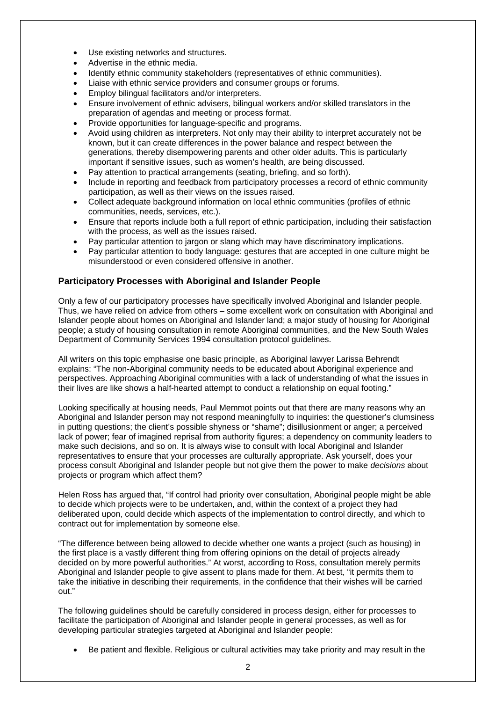- Use existing networks and structures.
- Advertise in the ethnic media.
- Identify ethnic community stakeholders (representatives of ethnic communities).
- Liaise with ethnic service providers and consumer groups or forums.
- Employ bilingual facilitators and/or interpreters.
- Ensure involvement of ethnic advisers, bilingual workers and/or skilled translators in the preparation of agendas and meeting or process format.
- Provide opportunities for language-specific and programs.
- Avoid using children as interpreters. Not only may their ability to interpret accurately not be known, but it can create differences in the power balance and respect between the generations, thereby disempowering parents and other older adults. This is particularly important if sensitive issues, such as women's health, are being discussed.
- Pay attention to practical arrangements (seating, briefing, and so forth).
- Include in reporting and feedback from participatory processes a record of ethnic community participation, as well as their views on the issues raised.
- Collect adequate background information on local ethnic communities (profiles of ethnic communities, needs, services, etc.).
- Ensure that reports include both a full report of ethnic participation, including their satisfaction with the process, as well as the issues raised.
- Pay particular attention to jargon or slang which may have discriminatory implications.
- Pay particular attention to body language: gestures that are accepted in one culture might be misunderstood or even considered offensive in another.

## **Participatory Processes with Aboriginal and Islander People**

Only a few of our participatory processes have specifically involved Aboriginal and Islander people. Thus, we have relied on advice from others – some excellent work on consultation with Aboriginal and Islander people about homes on Aboriginal and Islander land; a major study of housing for Aboriginal people; a study of housing consultation in remote Aboriginal communities, and the New South Wales Department of Community Services 1994 consultation protocol guidelines.

All writers on this topic emphasise one basic principle, as Aboriginal lawyer Larissa Behrendt explains: "The non-Aboriginal community needs to be educated about Aboriginal experience and perspectives. Approaching Aboriginal communities with a lack of understanding of what the issues in their lives are like shows a half-hearted attempt to conduct a relationship on equal footing."

Looking specifically at housing needs, Paul Memmot points out that there are many reasons why an Aboriginal and Islander person may not respond meaningfully to inquiries: the questioner's clumsiness in putting questions; the client's possible shyness or "shame"; disillusionment or anger; a perceived lack of power; fear of imagined reprisal from authority figures; a dependency on community leaders to make such decisions, and so on. It is always wise to consult with local Aboriginal and Islander representatives to ensure that your processes are culturally appropriate. Ask yourself, does your process consult Aboriginal and Islander people but not give them the power to make *decisions* about projects or program which affect them?

Helen Ross has argued that, "If control had priority over consultation, Aboriginal people might be able to decide which projects were to be undertaken, and, within the context of a project they had deliberated upon, could decide which aspects of the implementation to control directly, and which to contract out for implementation by someone else.

"The difference between being allowed to decide whether one wants a project (such as housing) in the first place is a vastly different thing from offering opinions on the detail of projects already decided on by more powerful authorities." At worst, according to Ross, consultation merely permits Aboriginal and Islander people to give assent to plans made for them. At best, "it permits them to take the initiative in describing their requirements, in the confidence that their wishes will be carried out."

The following guidelines should be carefully considered in process design, either for processes to facilitate the participation of Aboriginal and Islander people in general processes, as well as for developing particular strategies targeted at Aboriginal and Islander people:

• Be patient and flexible. Religious or cultural activities may take priority and may result in the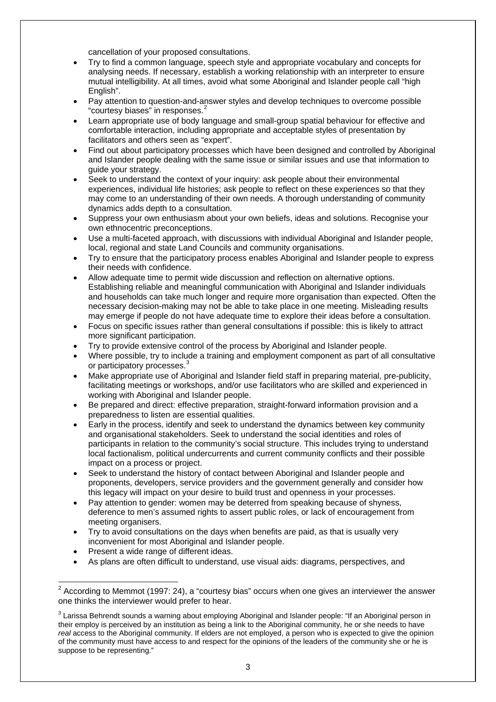cancellation of your proposed consultations.

- Try to find a common language, speech style and appropriate vocabulary and concepts for analysing needs. If necessary, establish a working relationship with an interpreter to ensure mutual intelligibility. At all times, avoid what some Aboriginal and Islander people call "high English".
- Pay attention to question-and-answer styles and develop techniques to overcome possible "courtesy biases" in responses.<sup>[2](#page-2-0)</sup>
- Learn appropriate use of body language and small-group spatial behaviour for effective and comfortable interaction, including appropriate and acceptable styles of presentation by facilitators and others seen as "expert".
- Find out about participatory processes which have been designed and controlled by Aboriginal and Islander people dealing with the same issue or similar issues and use that information to guide your strategy.
- Seek to understand the context of your inquiry: ask people about their environmental experiences, individual life histories; ask people to reflect on these experiences so that they may come to an understanding of their own needs. A thorough understanding of community dynamics adds depth to a consultation.
- Suppress your own enthusiasm about your own beliefs, ideas and solutions. Recognise your own ethnocentric preconceptions.
- Use a multi-faceted approach, with discussions with individual Aboriginal and Islander people, local, regional and state Land Councils and community organisations.
- Try to ensure that the participatory process enables Aboriginal and Islander people to express their needs with confidence.
- Allow adequate time to permit wide discussion and reflection on alternative options. Establishing reliable and meaningful communication with Aboriginal and Islander individuals and households can take much longer and require more organisation than expected. Often the necessary decision-making may not be able to take place in one meeting. Misleading results may emerge if people do not have adequate time to explore their ideas before a consultation.
- Focus on specific issues rather than general consultations if possible: this is likely to attract more significant participation.
- Try to provide extensive control of the process by Aboriginal and Islander people.
- Where possible, try to include a training and employment component as part of all consultative or participatory processes.<sup>[3](#page-2-1)</sup>
- Make appropriate use of Aboriginal and Islander field staff in preparing material, pre-publicity, facilitating meetings or workshops, and/or use facilitators who are skilled and experienced in working with Aboriginal and Islander people.
- Be prepared and direct: effective preparation, straight-forward information provision and a preparedness to listen are essential qualities.
- Early in the process, identify and seek to understand the dynamics between key community and organisational stakeholders. Seek to understand the social identities and roles of participants in relation to the community's social structure. This includes trying to understand local factionalism, political undercurrents and current community conflicts and their possible impact on a process or project.
- Seek to understand the history of contact between Aboriginal and Islander people and proponents, developers, service providers and the government generally and consider how this legacy will impact on your desire to build trust and openness in your processes.
- Pay attention to gender: women may be deterred from speaking because of shyness, deference to men's assumed rights to assert public roles, or lack of encouragement from meeting organisers.
- Try to avoid consultations on the days when benefits are paid, as that is usually very inconvenient for most Aboriginal and Islander people.
- Present a wide range of different ideas.
- As plans are often difficult to understand, use visual aids: diagrams, perspectives, and

<span id="page-2-0"></span> $\overline{a}$ <sup>2</sup> According to Memmot (1997: 24), a "courtesy bias" occurs when one gives an interviewer the answer one thinks the interviewer would prefer to hear.

<span id="page-2-1"></span> $^3$  Larissa Behrendt sounds a warning about employing Aboriginal and Islander people: "If an Aboriginal person in their employ is perceived by an institution as being a link to the Aboriginal community, he or she needs to have *real* access to the Aboriginal community. If elders are not employed, a person who is expected to give the opinion of the community must have access to and respect for the opinions of the leaders of the community she or he is suppose to be representing."